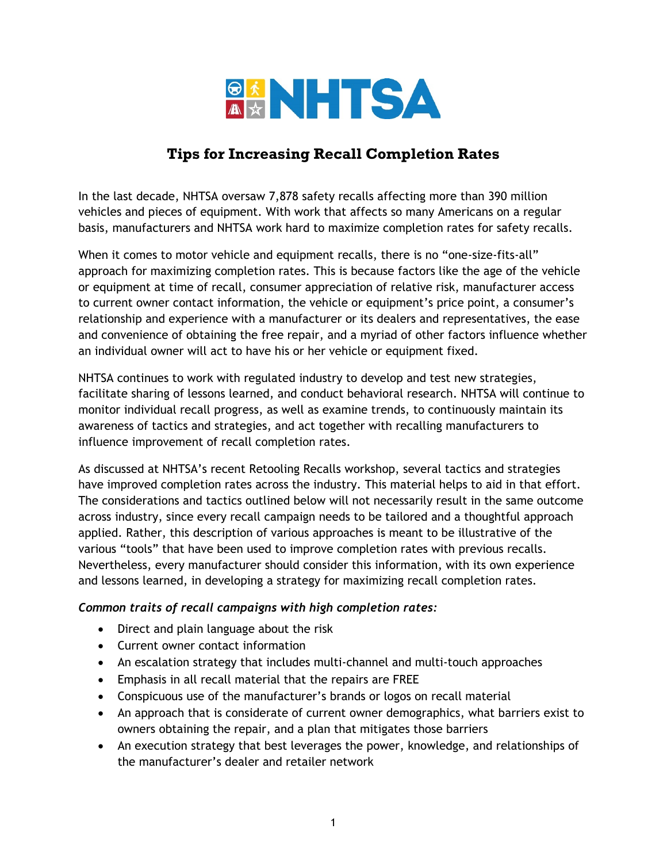

# **Tips for Increasing Recall Completion Rates**

In the last decade, NHTSA oversaw 7,878 safety recalls affecting more than 390 million vehicles and pieces of equipment. With work that affects so many Americans on a regular basis, manufacturers and NHTSA work hard to maximize completion rates for safety recalls.

When it comes to motor vehicle and equipment recalls, there is no "one-size-fits-all" approach for maximizing completion rates. This is because factors like the age of the vehicle or equipment at time of recall, consumer appreciation of relative risk, manufacturer access to current owner contact information, the vehicle or equipment's price point, a consumer's relationship and experience with a manufacturer or its dealers and representatives, the ease and convenience of obtaining the free repair, and a myriad of other factors influence whether an individual owner will act to have his or her vehicle or equipment fixed.

NHTSA continues to work with regulated industry to develop and test new strategies, facilitate sharing of lessons learned, and conduct behavioral research. NHTSA will continue to monitor individual recall progress, as well as examine trends, to continuously maintain its awareness of tactics and strategies, and act together with recalling manufacturers to influence improvement of recall completion rates.

As discussed at NHTSA's recent Retooling Recalls workshop, several tactics and strategies have improved completion rates across the industry. This material helps to aid in that effort. The considerations and tactics outlined below will not necessarily result in the same outcome across industry, since every recall campaign needs to be tailored and a thoughtful approach applied. Rather, this description of various approaches is meant to be illustrative of the various "tools" that have been used to improve completion rates with previous recalls. Nevertheless, every manufacturer should consider this information, with its own experience and lessons learned, in developing a strategy for maximizing recall completion rates.

#### *Common traits of recall campaigns with high completion rates:*

- Direct and plain language about the risk
- Current owner contact information
- An escalation strategy that includes multi-channel and multi-touch approaches
- Emphasis in all recall material that the repairs are FREE
- Conspicuous use of the manufacturer's brands or logos on recall material
- An approach that is considerate of current owner demographics, what barriers exist to owners obtaining the repair, and a plan that mitigates those barriers
- An execution strategy that best leverages the power, knowledge, and relationships of the manufacturer's dealer and retailer network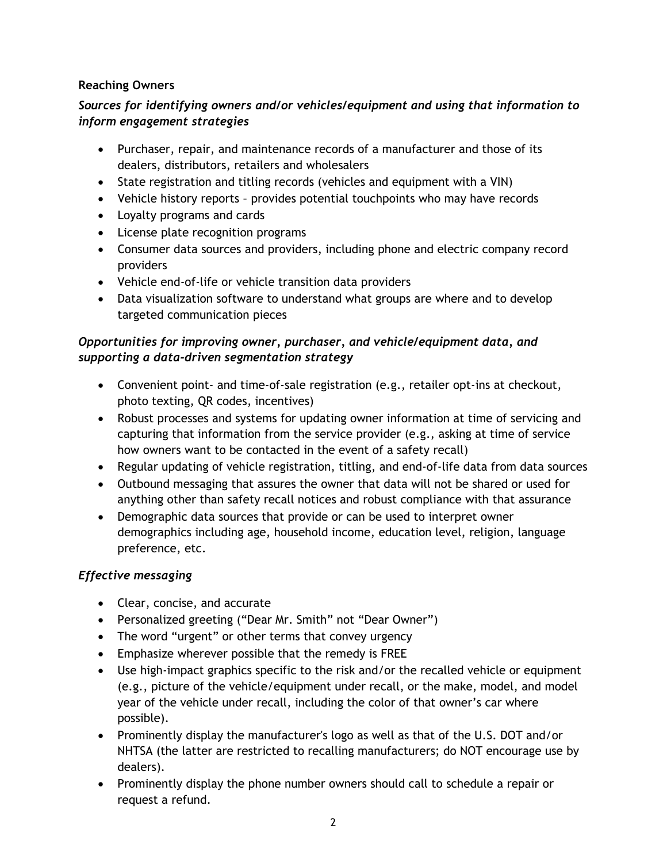## **Reaching Owners**

# *Sources for identifying owners and/or vehicles/equipment and using that information to inform engagement strategies*

- Purchaser, repair, and maintenance records of a manufacturer and those of its dealers, distributors, retailers and wholesalers
- State registration and titling records (vehicles and equipment with a VIN)
- Vehicle history reports provides potential touchpoints who may have records
- Loyalty programs and cards
- License plate recognition programs
- Consumer data sources and providers, including phone and electric company record providers
- Vehicle end-of-life or vehicle transition data providers
- Data visualization software to understand what groups are where and to develop targeted communication pieces

## *Opportunities for improving owner, purchaser, and vehicle/equipment data, and supporting a data-driven segmentation strategy*

- Convenient point- and time-of-sale registration (e.g., retailer opt-ins at checkout, photo texting, QR codes, incentives)
- Robust processes and systems for updating owner information at time of servicing and capturing that information from the service provider (e.g., asking at time of service how owners want to be contacted in the event of a safety recall)
- Regular updating of vehicle registration, titling, and end-of-life data from data sources
- Outbound messaging that assures the owner that data will not be shared or used for anything other than safety recall notices and robust compliance with that assurance
- Demographic data sources that provide or can be used to interpret owner demographics including age, household income, education level, religion, language preference, etc.

# *Effective messaging*

- Clear, concise, and accurate
- Personalized greeting ("Dear Mr. Smith" not "Dear Owner")
- The word "urgent" or other terms that convey urgency
- Emphasize wherever possible that the remedy is FREE
- Use high-impact graphics specific to the risk and/or the recalled vehicle or equipment (e.g., picture of the vehicle/equipment under recall, or the make, model, and model year of the vehicle under recall, including the color of that owner's car where possible).
- Prominently display the manufacturer's logo as well as that of the U.S. DOT and/or NHTSA (the latter are restricted to recalling manufacturers; do NOT encourage use by dealers).
- Prominently display the phone number owners should call to schedule a repair or request a refund.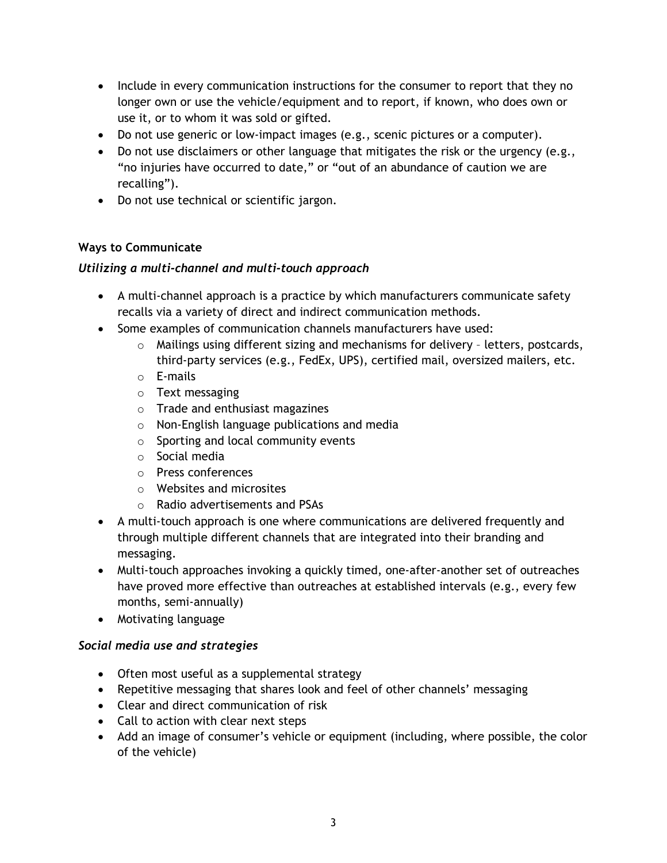- Include in every communication instructions for the consumer to report that they no longer own or use the vehicle/equipment and to report, if known, who does own or use it, or to whom it was sold or gifted.
- Do not use generic or low-impact images (e.g., scenic pictures or a computer).
- Do not use disclaimers or other language that mitigates the risk or the urgency (e.g., "no injuries have occurred to date," or "out of an abundance of caution we are recalling").
- Do not use technical or scientific jargon.

## **Ways to Communicate**

## *Utilizing a multi-channel and multi-touch approach*

- A multi-channel approach is a practice by which manufacturers communicate safety recalls via a variety of direct and indirect communication methods.
- Some examples of communication channels manufacturers have used:
	- $\circ$  Mailings using different sizing and mechanisms for delivery letters, postcards, third-party services (e.g., FedEx, UPS), certified mail, oversized mailers, etc.
	- o E-mails
	- o Text messaging
	- o Trade and enthusiast magazines
	- o Non-English language publications and media
	- o Sporting and local community events
	- o Social media
	- o Press conferences
	- o Websites and microsites
	- o Radio advertisements and PSAs
- A multi-touch approach is one where communications are delivered frequently and through multiple different channels that are integrated into their branding and messaging.
- Multi-touch approaches invoking a quickly timed, one-after-another set of outreaches have proved more effective than outreaches at established intervals (e.g., every few months, semi-annually)
- Motivating language

#### *Social media use and strategies*

- Often most useful as a supplemental strategy
- Repetitive messaging that shares look and feel of other channels' messaging
- Clear and direct communication of risk
- Call to action with clear next steps
- Add an image of consumer's vehicle or equipment (including, where possible, the color of the vehicle)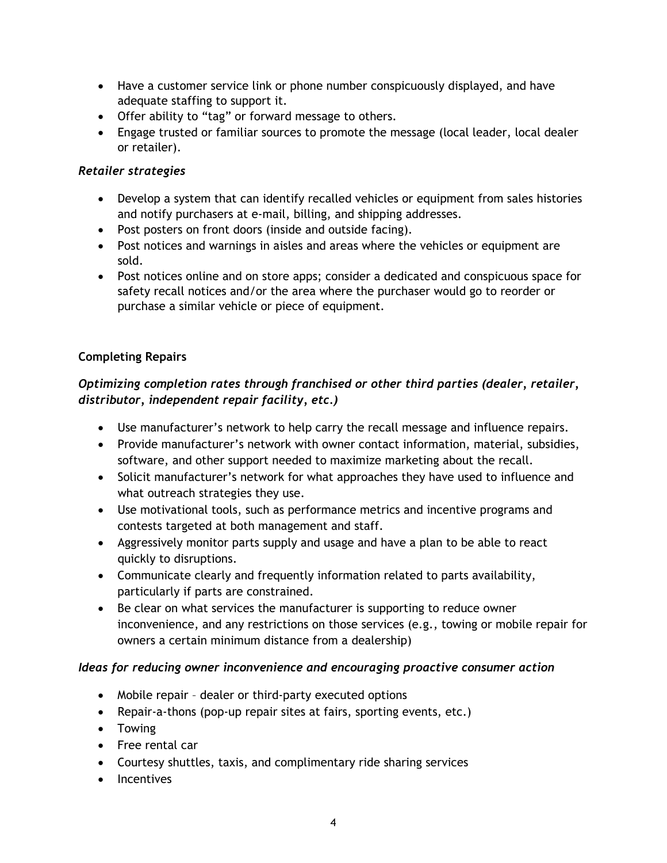- Have a customer service link or phone number conspicuously displayed, and have adequate staffing to support it.
- Offer ability to "tag" or forward message to others.
- Engage trusted or familiar sources to promote the message (local leader, local dealer or retailer).

#### *Retailer strategies*

- Develop a system that can identify recalled vehicles or equipment from sales histories and notify purchasers at e-mail, billing, and shipping addresses.
- Post posters on front doors (inside and outside facing).
- Post notices and warnings in aisles and areas where the vehicles or equipment are sold.
- Post notices online and on store apps; consider a dedicated and conspicuous space for safety recall notices and/or the area where the purchaser would go to reorder or purchase a similar vehicle or piece of equipment.

## **Completing Repairs**

# *Optimizing completion rates through franchised or other third parties (dealer, retailer, distributor, independent repair facility, etc.)*

- Use manufacturer's network to help carry the recall message and influence repairs.
- Provide manufacturer's network with owner contact information, material, subsidies, software, and other support needed to maximize marketing about the recall.
- Solicit manufacturer's network for what approaches they have used to influence and what outreach strategies they use.
- Use motivational tools, such as performance metrics and incentive programs and contests targeted at both management and staff.
- Aggressively monitor parts supply and usage and have a plan to be able to react quickly to disruptions.
- Communicate clearly and frequently information related to parts availability, particularly if parts are constrained.
- Be clear on what services the manufacturer is supporting to reduce owner inconvenience, and any restrictions on those services (e.g., towing or mobile repair for owners a certain minimum distance from a dealership)

#### *Ideas for reducing owner inconvenience and encouraging proactive consumer action*

- Mobile repair dealer or third-party executed options
- Repair-a-thons (pop-up repair sites at fairs, sporting events, etc.)
- Towing
- Free rental car
- Courtesy shuttles, taxis, and complimentary ride sharing services
- Incentives